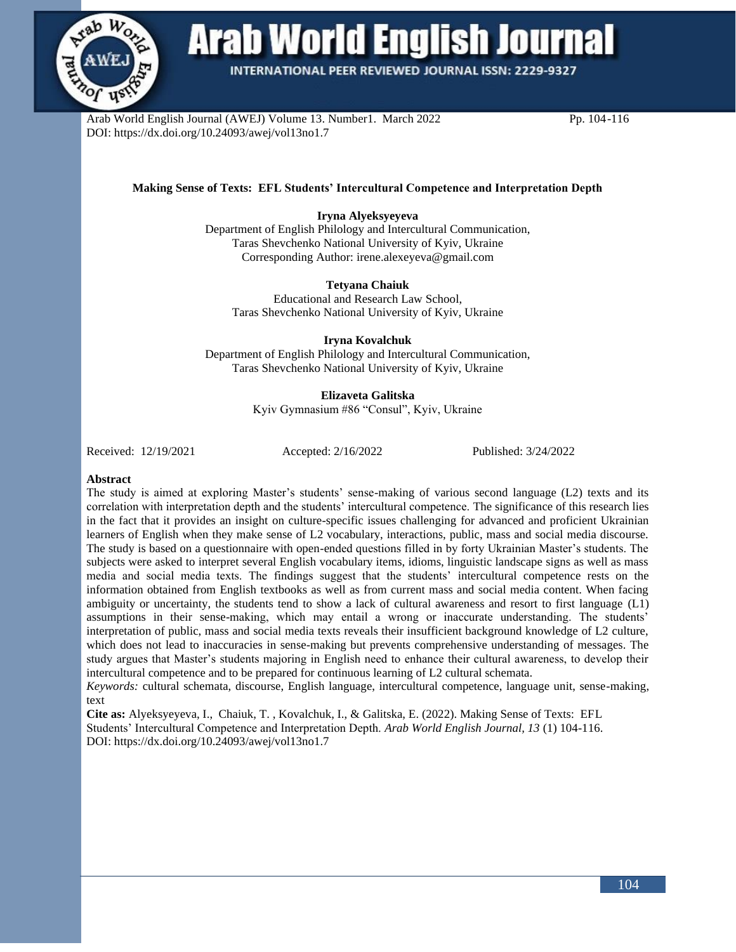

# Arab World English Journal

**INTERNATIONAL PEER REVIEWED JOURNAL ISSN: 2229-9327** 

Arab World English Journal (AWEJ) Volume 13. Number1. March 2022 Pp. 104-116 DOI: https://dx.doi.org/10.24093/awej/vol13no1.7

# **Making Sense of Texts: EFL Students' Intercultural Competence and Interpretation Depth**

# **Iryna Alyeksyeyeva**

Department of English Philology and Intercultural Communication, Taras Shevchenko National University of Kyiv, Ukraine Corresponding Author[: irene.alexeyeva@gmail.com](mailto:irene.alexeyeva@gmail.com)

# **Tetyana Chaiuk**

Educational and Research Law School, Taras Shevchenko National University of Kyiv, Ukraine

**Iryna Kovalchuk**

Department of English Philology and Intercultural Communication, Taras Shevchenko National University of Kyiv, Ukraine

## **Elizaveta Galitska**

Kyiv Gymnasium #86 "Consul", Kyiv, Ukraine

Received: 12/19/2021 Accepted: 2/16/2022 Published: 3/24/2022

## **Abstract**

The study is aimed at exploring Master's students' sense-making of various second language (L2) texts and its correlation with interpretation depth and the students' intercultural competence. The significance of this research lies in the fact that it provides an insight on culture-specific issues challenging for advanced and proficient Ukrainian learners of English when they make sense of L2 vocabulary, interactions, public, mass and social media discourse. The study is based on a questionnaire with open-ended questions filled in by forty Ukrainian Master's students. The subjects were asked to interpret several English vocabulary items, idioms, linguistic landscape signs as well as mass media and social media texts. The findings suggest that the students' intercultural competence rests on the information obtained from English textbooks as well as from current mass and social media content. When facing ambiguity or uncertainty, the students tend to show a lack of cultural awareness and resort to first language (L1) assumptions in their sense-making, which may entail a wrong or inaccurate understanding. The students' interpretation of public, mass and social media texts reveals their insufficient background knowledge of L2 culture, which does not lead to inaccuracies in sense-making but prevents comprehensive understanding of messages. The study argues that Master's students majoring in English need to enhance their cultural awareness, to develop their intercultural competence and to be prepared for continuous learning of L2 cultural schemata.

*Keywords:* cultural schemata, discourse, English language, intercultural competence, language unit, sense-making, text

**Cite as:** Alyeksyeyeva, I., Chaiuk, T. , Kovalchuk, I., & Galitska, E. (2022). Making Sense of Texts: EFL Students' Intercultural Competence and Interpretation Depth. *Arab World English Journal, 13* (1) 104-116. DOI: https://dx.doi.org/10.24093/awej/vol13no1.7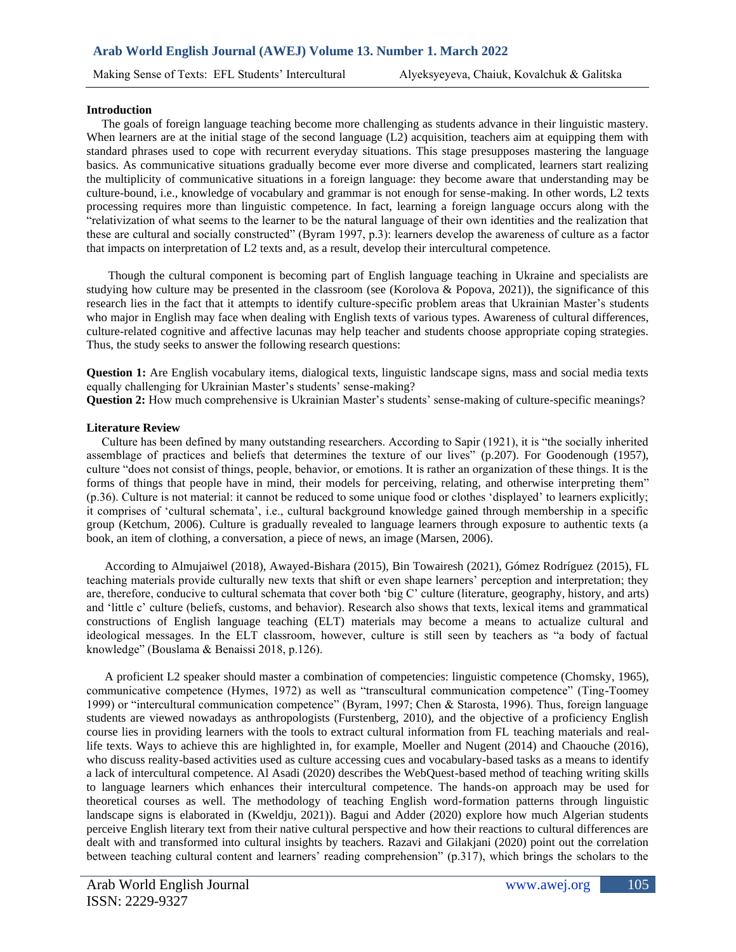#### **Introduction**

 The goals of foreign language teaching become more challenging as students advance in their linguistic mastery. When learners are at the initial stage of the second language (L2) acquisition, teachers aim at equipping them with standard phrases used to cope with recurrent everyday situations. This stage presupposes mastering the language basics. As communicative situations gradually become ever more diverse and complicated, learners start realizing the multiplicity of communicative situations in a foreign language: they become aware that understanding may be culture-bound, i.e., knowledge of vocabulary and grammar is not enough for sense-making. In other words, L2 texts processing requires more than linguistic competence. In fact, learning a foreign language occurs along with the "relativization of what seems to the learner to be the natural language of their own identities and the realization that these are cultural and socially constructed" (Byram 1997, p.3): learners develop the awareness of culture as a factor that impacts on interpretation of L2 texts and, as a result, develop their intercultural competence.

Though the cultural component is becoming part of English language teaching in Ukraine and specialists are studying how culture may be presented in the classroom (see (Korolova & Popova, 2021)), the significance of this research lies in the fact that it attempts to identify culture-specific problem areas that Ukrainian Master's students who major in English may face when dealing with English texts of various types. Awareness of cultural differences, culture-related cognitive and affective lacunas may help teacher and students choose appropriate coping strategies. Thus, the study seeks to answer the following research questions:

**Question 1:** Are English vocabulary items, dialogical texts, linguistic landscape signs, mass and social media texts equally challenging for Ukrainian Master's students' sense-making?

**Question 2:** How much comprehensive is Ukrainian Master's students' sense-making of culture-specific meanings?

#### **Literature Review**

 Culture has been defined by many outstanding researchers. According to Sapir (1921), it is "the socially inherited assemblage of practices and beliefs that determines the texture of our lives" (p.207). For Goodenough (1957), culture "does not consist of things, people, behavior, or emotions. It is rather an organization of these things. It is the forms of things that people have in mind, their models for perceiving, relating, and otherwise interpreting them" (p.36). Culture is not material: it cannot be reduced to some unique food or clothes 'displayed' to learners explicitly; it comprises of 'cultural schemata', i.e., cultural background knowledge gained through membership in a specific group (Ketchum, 2006). Culture is gradually revealed to language learners through exposure to authentic texts (a book, an item of clothing, a conversation, a piece of news, an image (Marsen, 2006).

 According to Almujaiwel (2018), Awayed-Bishara (2015), Bin Towairesh (2021), Gómez Rodríguez (2015), FL teaching materials provide culturally new texts that shift or even shape learners' perception and interpretation; they are, therefore, conducive to cultural schemata that cover both 'big C' culture (literature, geography, history, and arts) and 'little c' culture (beliefs, customs, and behavior). Research also shows that texts, lexical items and grammatical constructions of English language teaching (ELT) materials may become a means to actualize cultural and ideological messages. In the ELT classroom, however, culture is still seen by teachers as "a body of factual knowledge" (Bouslama & Benaissi 2018, p.126).

 A proficient L2 speaker should master a combination of competencies: linguistic competence (Chomsky, 1965), communicative competence (Hymes, 1972) as well as "transcultural communication competence" (Ting-Toomey 1999) or "intercultural communication competence" (Byram, 1997; Chen & Starosta, 1996). Thus, foreign language students are viewed nowadays as anthropologists (Furstenberg, 2010), and the objective of a proficiency English course lies in providing learners with the tools to extract cultural information from FL teaching materials and reallife texts. Ways to achieve this are highlighted in, for example, Moeller and Nugent (2014) and Chaouche (2016), who discuss reality-based activities used as culture accessing cues and vocabulary-based tasks as a means to identify a lack of intercultural competence. Al Asadi (2020) describes the WebQuest-based method of teaching writing skills to language learners which enhances their intercultural competence. The hands-on approach may be used for theoretical courses as well. The methodology of teaching English word-formation patterns through linguistic landscape signs is elaborated in (Kweldju, 2021)). Bagui and Adder (2020) explore how much Algerian students perceive English literary text from their native cultural perspective and how their reactions to cultural differences are dealt with and transformed into cultural insights by teachers. Razavi and Gilakjani (2020) point out the correlation between teaching cultural content and learners' reading comprehension" (p.317), which brings the scholars to the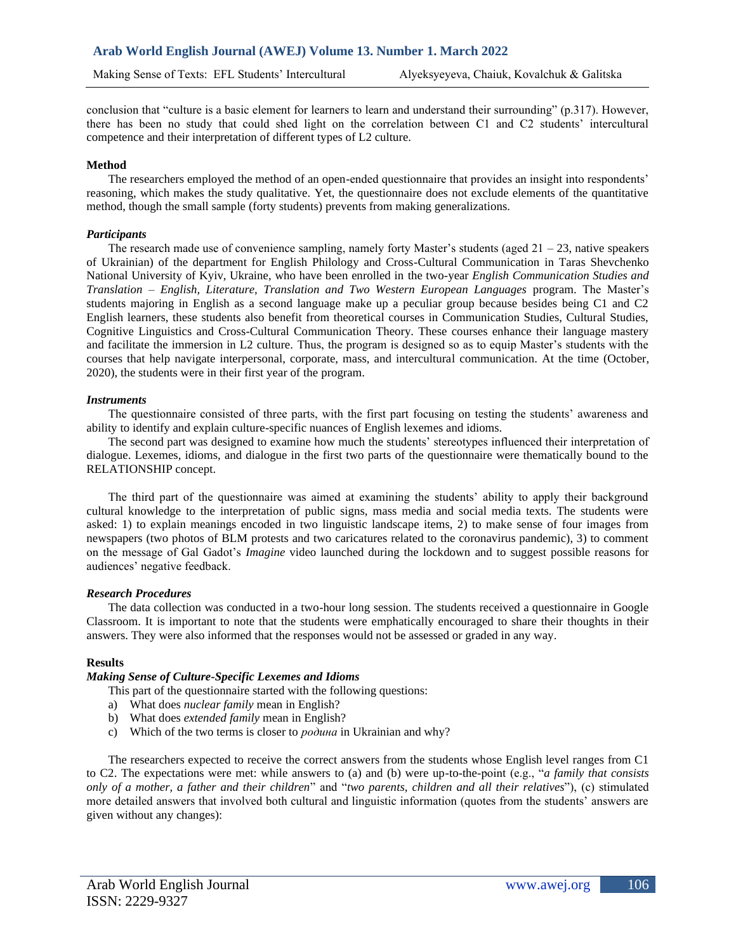conclusion that "culture is a basic element for learners to learn and understand their surrounding" (p.317). However, there has been no study that could shed light on the correlation between C1 and C2 students' intercultural competence and their interpretation of different types of L2 culture.

## **Method**

The researchers employed the method of an open-ended questionnaire that provides an insight into respondents' reasoning, which makes the study qualitative. Yet, the questionnaire does not exclude elements of the quantitative method, though the small sample (forty students) prevents from making generalizations.

## *Participants*

The research made use of convenience sampling, namely forty Master's students (aged 21 – 23, native speakers of Ukrainian) of the department for English Philology and Cross-Cultural Communication in Taras Shevchenko National University of Kyiv, Ukraine, who have been enrolled in the two-year *English Communication Studies and Translation – English, Literature, Translation and Two Western European Languages* program. The Master's students majoring in English as a second language make up a peculiar group because besides being C1 and C2 English learners, these students also benefit from theoretical courses in Communication Studies, Cultural Studies, Cognitive Linguistics and Cross-Cultural Communication Theory. These courses enhance their language mastery and facilitate the immersion in L2 culture. Thus, the program is designed so as to equip Master's students with the courses that help navigate interpersonal, corporate, mass, and intercultural communication. At the time (October, 2020), the students were in their first year of the program.

#### *Instruments*

The questionnaire consisted of three parts, with the first part focusing on testing the students' awareness and ability to identify and explain culture-specific nuances of English lexemes and idioms.

The second part was designed to examine how much the students' stereotypes influenced their interpretation of dialogue. Lexemes, idioms, and dialogue in the first two parts of the questionnaire were thematically bound to the RELATIONSHIP concept.

The third part of the questionnaire was aimed at examining the students' ability to apply their background cultural knowledge to the interpretation of public signs, mass media and social media texts. The students were asked: 1) to explain meanings encoded in two linguistic landscape items, 2) to make sense of four images from newspapers (two photos of BLM protests and two caricatures related to the coronavirus pandemic), 3) to comment on the message of Gal Gadot's *Imagine* video launched during the lockdown and to suggest possible reasons for audiences' negative feedback.

## *Research Procedures*

The data collection was conducted in a two-hour long session. The students received a questionnaire in Google Classroom. It is important to note that the students were emphatically encouraged to share their thoughts in their answers. They were also informed that the responses would not be assessed or graded in any way.

# **Results**

# *Making Sense of Culture-Specific Lexemes and Idioms*

- This part of the questionnaire started with the following questions:
- a) What does *nuclear family* mean in English?
- b) What does *extended family* mean in English?
- c) Which of the two terms is closer to *родина* in Ukrainian and why?

The researchers expected to receive the correct answers from the students whose English level ranges from C1 to C2. The expectations were met: while answers to (a) and (b) were up-to-the-point (e.g., "*a family that consists only of a mother, a father and their children*" and "*two parents, children and all their relatives*"), (c) stimulated more detailed answers that involved both cultural and linguistic information (quotes from the students' answers are given without any changes):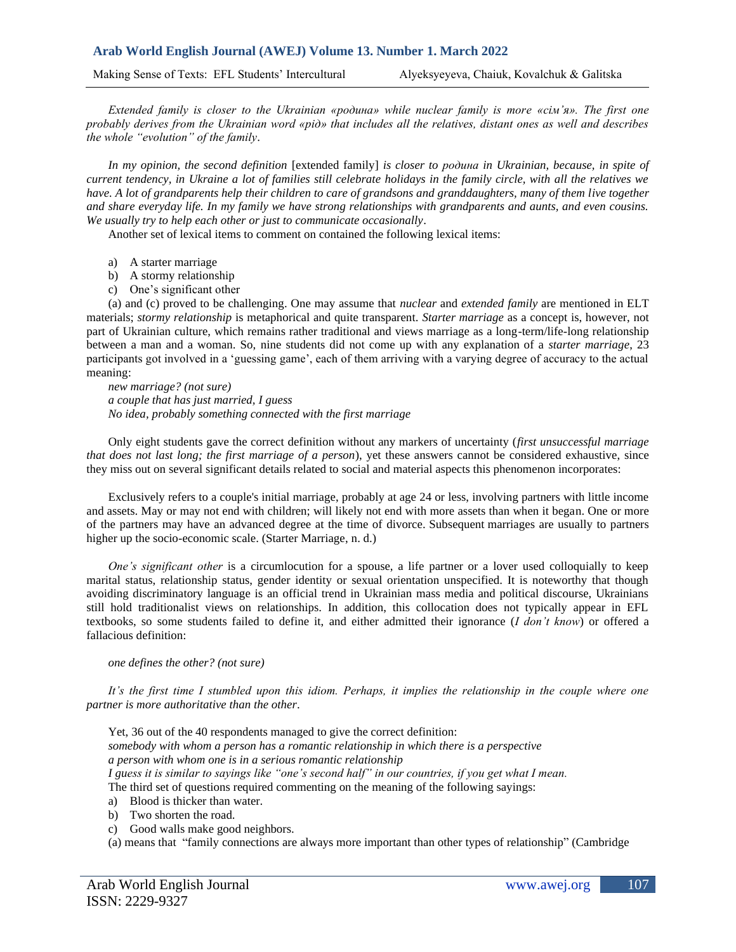*Extended family is closer to the Ukrainian «родина» while nuclear family is more «сім'я». The first one probably derives from the Ukrainian word «рід» that includes all the relatives, distant ones as well and describes the whole "evolution" of the family*.

*In my opinion, the second definition* [extended family] *is closer to родина in Ukrainian, because, in spite of current tendency, in Ukraine a lot of families still celebrate holidays in the family circle, with all the relatives we have. A lot of grandparents help their children to care of grandsons and granddaughters, many of them live together and share everyday life. In my family we have strong relationships with grandparents and aunts, and even cousins. We usually try to help each other or just to communicate occasionally*.

Another set of lexical items to comment on contained the following lexical items:

- a) A starter marriage
- b) A stormy relationship
- c) One's significant other

(a) and (c) proved to be challenging. One may assume that *nuclear* and *extended family* are mentioned in ELT materials; *stormy relationship* is metaphorical and quite transparent. *Starter marriage* as a concept is, however, not part of Ukrainian culture, which remains rather traditional and views marriage as a long-term/life-long relationship between a man and a woman. So, nine students did not come up with any explanation of a *starter marriage*, 23 participants got involved in a 'guessing game', each of them arriving with a varying degree of accuracy to the actual meaning:

*new marriage? (not sure) a couple that has just married, I guess No idea, probably something connected with the first marriage*

Only eight students gave the correct definition without any markers of uncertainty (*first unsuccessful marriage that does not last long; the first marriage of a person*), yet these answers cannot be considered exhaustive, since they miss out on several significant details related to social and material aspects this phenomenon incorporates:

Exclusively refers to [a couple's](https://www.urbandictionary.com/define.php?term=a%20couple%27s) initial marriage, probably at age 24 or less, involving partners with little income and [assets.](https://www.urbandictionary.com/define.php?term=assets) May or may not end with children; will likely not end with more assets than when it began. One or more of the partners may have an advanced degree at the time of divorce. [Subsequent](https://www.urbandictionary.com/define.php?term=Subsequent) marriages are usually to partners higher up the socio-economic scale. (Starter Marriage, n. d.)

*One's significant other* is a circumlocution for a spouse, a life partner or a lover used colloquially to keep marital status, relationship status, gender identity or sexual orientation unspecified. It is noteworthy that though avoiding discriminatory language is an official trend in Ukrainian mass media and political discourse, Ukrainians still hold traditionalist views on relationships. In addition, this collocation does not typically appear in EFL textbooks, so some students failed to define it, and either admitted their ignorance (*I don't know*) or offered a fallacious definition:

#### *one defines the other? (not sure)*

It's the first time I stumbled upon this idiom. Perhaps, it implies the relationship in the couple where one *partner is more authoritative than the other*.

Yet, 36 out of the 40 respondents managed to give the correct definition: *somebody with whom a person has a romantic relationship in which there is a perspective a person with whom one is in a serious romantic relationship I guess it is similar to sayings like "one's second half" in our countries, if you get what I mean.* The third set of questions required commenting on the meaning of the following sayings:

- a) Blood is thicker than water.
- b) Two shorten the road.
- c) Good walls make good neighbors.

(a) means that ["family](https://dictionary.cambridge.org/ru/%D1%81%D0%BB%D0%BE%D0%B2%D0%B0%D1%80%D1%8C/%D0%B0%D0%BD%D0%B3%D0%BB%D0%B8%D0%B9%D1%81%D0%BA%D0%B8%D0%B9/family) [connections](https://dictionary.cambridge.org/ru/%D1%81%D0%BB%D0%BE%D0%B2%D0%B0%D1%80%D1%8C/%D0%B0%D0%BD%D0%B3%D0%BB%D0%B8%D0%B9%D1%81%D0%BA%D0%B8%D0%B9/connection) are always more [important](https://dictionary.cambridge.org/ru/%D1%81%D0%BB%D0%BE%D0%B2%D0%B0%D1%80%D1%8C/%D0%B0%D0%BD%D0%B3%D0%BB%D0%B8%D0%B9%D1%81%D0%BA%D0%B8%D0%B9/important) than other [types](https://dictionary.cambridge.org/ru/%D1%81%D0%BB%D0%BE%D0%B2%D0%B0%D1%80%D1%8C/%D0%B0%D0%BD%D0%B3%D0%BB%D0%B8%D0%B9%D1%81%D0%BA%D0%B8%D0%B9/type) of [relationship"](https://dictionary.cambridge.org/ru/%D1%81%D0%BB%D0%BE%D0%B2%D0%B0%D1%80%D1%8C/%D0%B0%D0%BD%D0%B3%D0%BB%D0%B8%D0%B9%D1%81%D0%BA%D0%B8%D0%B9/relationship) (Cambridge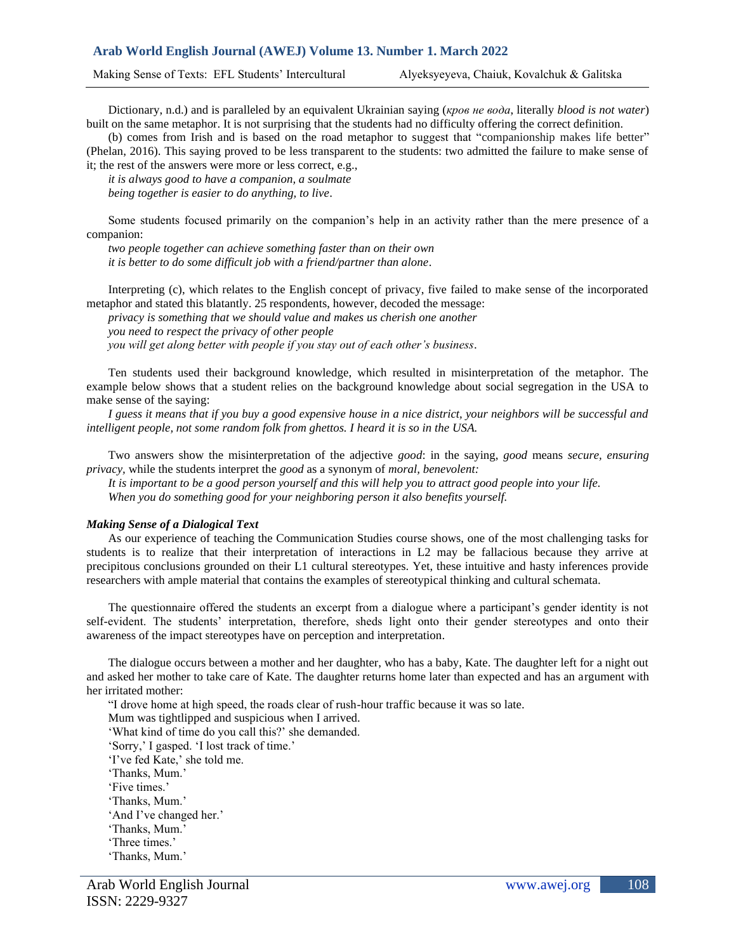Making Sense of Texts: EFL Students' Intercultural Alyeksyeyeva, Chaiuk, Kovalchuk & Galitska

Dictionary, n.d.) and is paralleled by an equivalent Ukrainian saying (*кров не вода*, literally *blood is not water*) built on the same metaphor. It is not surprising that the students had no difficulty offering the correct definition.

(b) comes from Irish and is based on the road metaphor to suggest that "companionship makes life better" (Phelan, 2016). This saying proved to be less transparent to the students: two admitted the failure to make sense of it; the rest of the answers were more or less correct, e.g.,

*it is always good to have a companion, a soulmate being together is easier to do anything, to live*.

Some students focused primarily on the companion's help in an activity rather than the mere presence of a companion:

*two people together can achieve something faster than on their own it is better to do some difficult job with a friend/partner than alone*.

Interpreting (c), which relates to the English concept of privacy, five failed to make sense of the incorporated metaphor and stated this blatantly. 25 respondents, however, decoded the message:

*privacy is something that we should value and makes us cherish one another you need to respect the privacy of other people you will get along better with people if you stay out of each other's business*.

Ten students used their background knowledge, which resulted in misinterpretation of the metaphor. The example below shows that a student relies on the background knowledge about social segregation in the USA to make sense of the saying:

*I guess it means that if you buy a good expensive house in a nice district, your neighbors will be successful and intelligent people, not some random folk from ghettos. I heard it is so in the USA.*

Two answers show the misinterpretation of the adjective *good*: in the saying, *good* means *secure, ensuring privacy,* while the students interpret the *good* as a synonym of *moral, benevolent:*

*It is important to be a good person yourself and this will help you to attract good people into your life. When you do something good for your neighboring person it also benefits yourself.*

## *Making Sense of a Dialogical Text*

As our experience of teaching the Communication Studies course shows, one of the most challenging tasks for students is to realize that their interpretation of interactions in L2 may be fallacious because they arrive at precipitous conclusions grounded on their L1 cultural stereotypes. Yet, these intuitive and hasty inferences provide researchers with ample material that contains the examples of stereotypical thinking and cultural schemata.

The questionnaire offered the students an excerpt from a dialogue where a participant's gender identity is not self-evident. The students' interpretation, therefore, sheds light onto their gender stereotypes and onto their awareness of the impact stereotypes have on perception and interpretation.

The dialogue occurs between a mother and her daughter, who has a baby, Kate. The daughter left for a night out and asked her mother to take care of Kate. The daughter returns home later than expected and has an argument with her irritated mother:

"I drove home at high speed, the roads clear of rush-hour traffic because it was so late. Mum was tightlipped and suspicious when I arrived. 'What kind of time do you call this?' she demanded. 'Sorry,' I gasped. 'I lost track of time.' 'I've fed Kate,' she told me. 'Thanks, Mum.' 'Five times.' 'Thanks, Mum.' 'And I've changed her.' 'Thanks, Mum.' 'Three times.' 'Thanks, Mum.'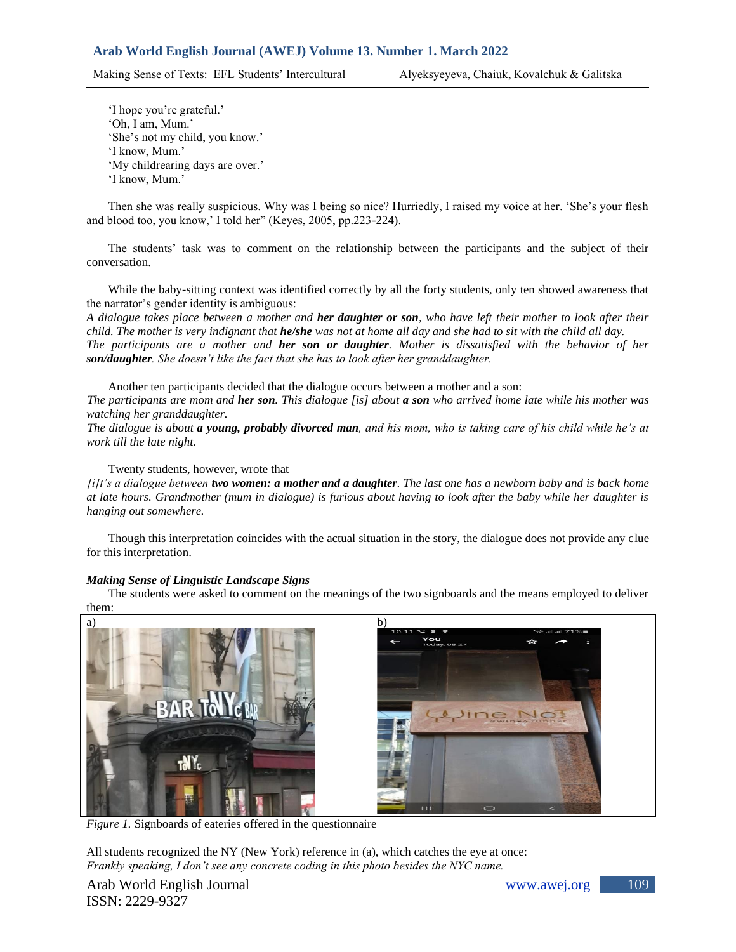Making Sense of Texts: EFL Students' Intercultural Alyeksyeyeva, Chaiuk, Kovalchuk & Galitska

'I hope you're grateful.' 'Oh, I am, Mum.' 'She's not my child, you know.' 'I know, Mum.' 'My childrearing days are over.' 'I know, Mum.'

Then she was really suspicious. Why was I being so nice? Hurriedly, I raised my voice at her. 'She's your flesh and blood too, you know,' I told her" (Keyes, 2005, pp.223-224).

The students' task was to comment on the relationship between the participants and the subject of their conversation.

While the baby-sitting context was identified correctly by all the forty students, only ten showed awareness that the narrator's gender identity is ambiguous:

*A dialogue takes place between a mother and her daughter or son, who have left their mother to look after their child. The mother is very indignant that he/she was not at home all day and she had to sit with the child all day.* 

*The participants are a mother and her son or daughter. Mother is dissatisfied with the behavior of her son/daughter. She doesn't like the fact that she has to look after her granddaughter.*

Another ten participants decided that the dialogue occurs between a mother and a son: *The participants are mom and her son. This dialogue [is] about a son who arrived home late while his mother was watching her granddaughter.* 

*The dialogue is about a young, probably divorced man, and his mom, who is taking care of his child while he's at work till the late night.*

Twenty students, however, wrote that

*[i]t's a dialogue between two women: a mother and a daughter. The last one has a newborn baby and is back home at late hours. Grandmother (mum in dialogue) is furious about having to look after the baby while her daughter is hanging out somewhere.* 

Though this interpretation coincides with the actual situation in the story, the dialogue does not provide any clue for this interpretation.

# *Making Sense of Linguistic Landscape Signs*

The students were asked to comment on the meanings of the two signboards and the means employed to deliver them:



*Figure 1.* Signboards of eateries offered in the questionnaire

All students recognized the NY (New York) reference in (a), which catches the eye at once: *Frankly speaking, I don't see any concrete coding in this photo besides the NYC name.*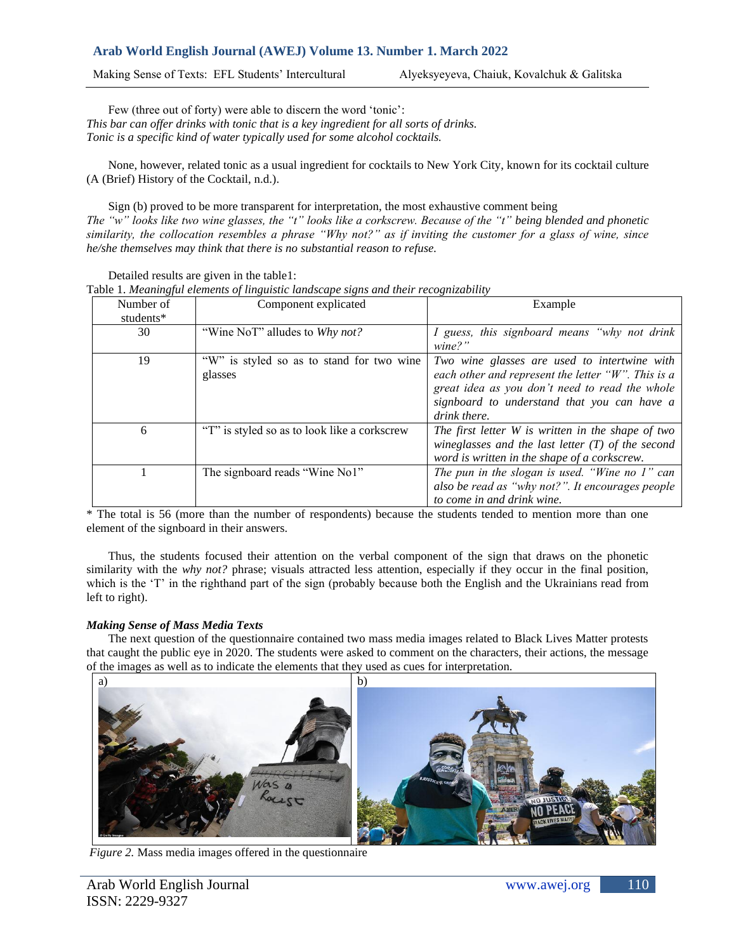Making Sense of Texts: EFL Students' Intercultural Alyeksyeyeva, Chaiuk, Kovalchuk & Galitska

Few (three out of forty) were able to discern the word 'tonic': *This bar can offer drinks with tonic that is a key ingredient for all sorts of drinks. Tonic is a specific kind of water typically used for some alcohol cocktails.*

None, however, related tonic as a usual ingredient for cocktails to New York City, known for its cocktail culture (A (Brief) History of the Cocktail, n.d.).

Sign (b) proved to be more transparent for interpretation, the most exhaustive comment being *The "w" looks like two wine glasses, the "t" looks like a corkscrew. Because of the "t" being blended and phonetic similarity, the collocation resembles a phrase "Why not?" as if inviting the customer for a glass of wine, since he/she themselves may think that there is no substantial reason to refuse.* 

| Table 1. Meaningful elements of linguistic landscape signs and their recognizability |                                                      |                                                                                                                                                                                                                         |  |  |  |
|--------------------------------------------------------------------------------------|------------------------------------------------------|-------------------------------------------------------------------------------------------------------------------------------------------------------------------------------------------------------------------------|--|--|--|
| Number of<br>students*                                                               | Component explicated                                 | Example                                                                                                                                                                                                                 |  |  |  |
| 30                                                                                   | "Wine NoT" alludes to Why not?                       | I guess, this signboard means "why not drink<br>$\text{wine?}$ "                                                                                                                                                        |  |  |  |
| 19                                                                                   | "W" is styled so as to stand for two wine<br>glasses | Two wine glasses are used to intertwine with<br>each other and represent the letter " $W$ ". This is a<br>great idea as you don't need to read the whole<br>signboard to understand that you can have a<br>drink there. |  |  |  |
| 6                                                                                    | "T" is styled so as to look like a corkscrew         | The first letter W is written in the shape of two<br>wineglasses and the last letter $(T)$ of the second<br>word is written in the shape of a corkscrew.                                                                |  |  |  |
|                                                                                      | The signboard reads "Wine No1"                       | The pun in the slogan is used. "Wine no 1" can<br>also be read as "why not?". It encourages people<br>to come in and drink wine.                                                                                        |  |  |  |

Detailed results are given in the table1:

Table 1. *Meaningful elements of linguistic landscape signs and their recognizability*

\* The total is 56 (more than the number of respondents) because the students tended to mention more than one element of the signboard in their answers.

Thus, the students focused their attention on the verbal component of the sign that draws on the phonetic similarity with the *why not?* phrase; visuals attracted less attention, especially if they occur in the final position, which is the 'T' in the righthand part of the sign (probably because both the English and the Ukrainians read from left to right).

# *Making Sense of Mass Media Texts*

The next question of the questionnaire contained two mass media images related to Black Lives Matter protests that caught the public eye in 2020. The students were asked to comment on the characters, their actions, the message of the images as well as to indicate the elements that they used as cues for interpretation.



*Figure 2.* Mass media images offered in the questionnaire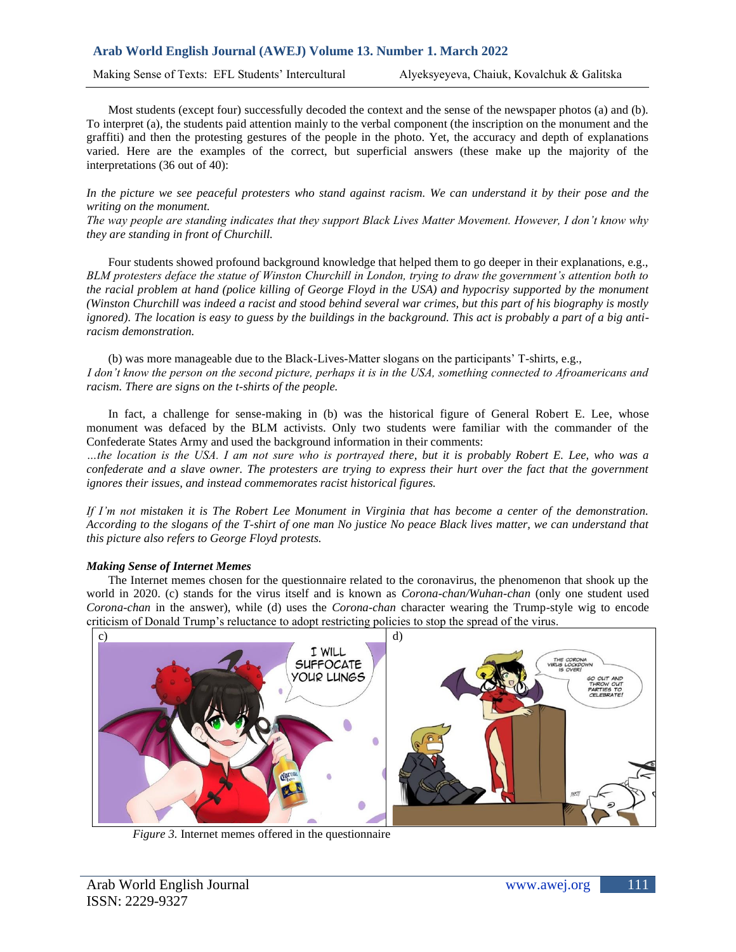Making Sense of Texts: EFL Students' Intercultural Alyeksyeyeva, Chaiuk, Kovalchuk & Galitska

Most students (except four) successfully decoded the context and the sense of the newspaper photos (a) and (b). To interpret (a), the students paid attention mainly to the verbal component (the inscription on the monument and the graffiti) and then the protesting gestures of the people in the photo. Yet, the accuracy and depth of explanations varied. Here are the examples of the correct, but superficial answers (these make up the majority of the interpretations (36 out of 40):

In the picture we see peaceful protesters who stand against racism. We can understand it by their pose and the *writing on the monument.*

*The way people are standing indicates that they support Black Lives Matter Movement. However, I don't know why they are standing in front of Churchill.*

Four students showed profound background knowledge that helped them to go deeper in their explanations, e.g., *BLM protesters deface the statue of Winston Churchill in London, trying to draw the government's attention both to the racial problem at hand (police killing of George Floyd in the USA) and hypocrisy supported by the monument (Winston Churchill was indeed a racist and stood behind several war crimes, but this part of his biography is mostly ignored). The location is easy to guess by the buildings in the background. This act is probably a part of a big antiracism demonstration.*

(b) was more manageable due to the Black-Lives-Matter slogans on the participants' T-shirts, e.g., *I don't know the person on the second picture, perhaps it is in the USA, something connected to Afroamericans and racism. There are signs on the t-shirts of the people.* 

In fact, a challenge for sense-making in (b) was the historical figure of General Robert E. Lee, whose monument was defaced by the BLM activists. Only two students were familiar with the commander of the Confederate States Army and used the background information in their comments:

*…the location is the USA. I am not sure who is portrayed there, but it is probably Robert E. Lee, who was a confederate and a slave owner. The protesters are trying to express their hurt over the fact that the government ignores their issues, and instead commemorates racist historical figures.*

*If I'm not mistaken it is The Robert Lee Monument in Virginia that has become a center of the demonstration. According to the slogans of the T-shirt of one man No justice No peace Black lives matter, we can understand that this picture also refers to George Floyd protests.*

# *Making Sense of Internet Memes*

The Internet memes chosen for the questionnaire related to the coronavirus, the phenomenon that shook up the world in 2020. (c) stands for the virus itself and is known as *Corona-chan/Wuhan-chan* (only one student used *Corona-chan* in the answer), while (d) uses the *Corona-chan* character wearing the Trump-style wig to encode criticism of Donald Trump's reluctance to adopt restricting policies to stop the spread of the virus.



*Figure 3.* Internet memes offered in the questionnaire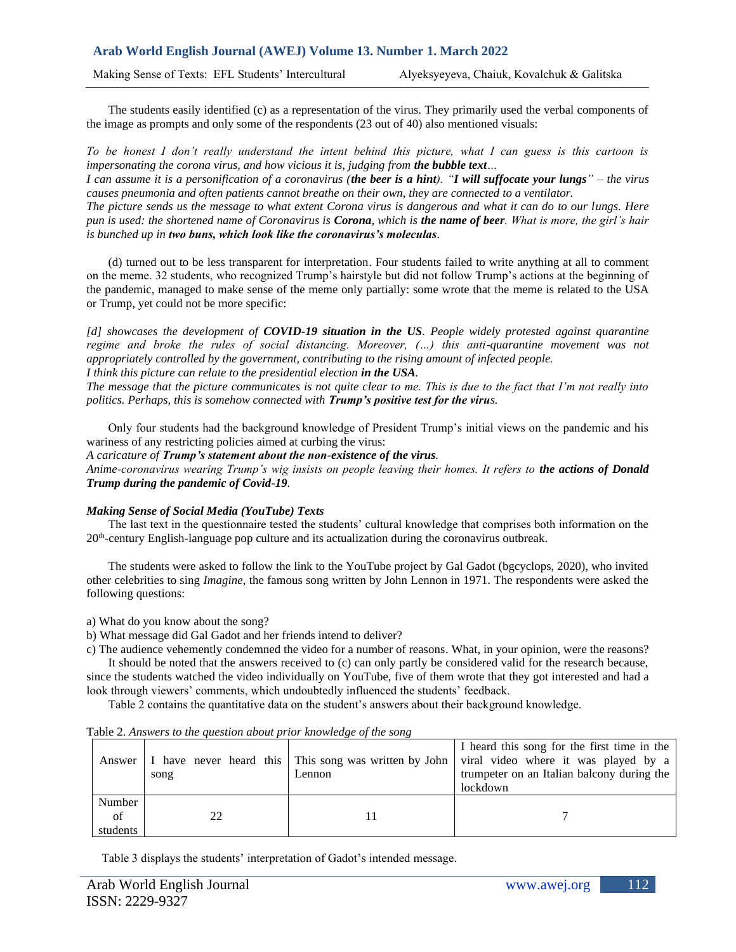The students easily identified (c) as a representation of the virus. They primarily used the verbal components of the image as prompts and only some of the respondents (23 out of 40) also mentioned visuals:

*To be honest I don't really understand the intent behind this picture, what I can guess is this cartoon is impersonating the corona virus, and how vicious it is, judging from the bubble text…*

*I can assume it is a personification of a coronavirus (the beer is a hint). "I will suffocate your lungs" – the virus causes pneumonia and often patients cannot breathe on their own, they are connected to a ventilator.*

*The picture sends us the message to what extent Corona virus is dangerous and what it can do to our lungs. Here pun is used: the shortened name of Coronavirus is Corona, which is the name of beer. What is more, the girl's hair is bunched up in two buns, which look like the coronavirus's moleculas.*

(d) turned out to be less transparent for interpretation. Four students failed to write anything at all to comment on the meme. 32 students, who recognized Trump's hairstyle but did not follow Trump's actions at the beginning of the pandemic, managed to make sense of the meme only partially: some wrote that the meme is related to the USA or Trump, yet could not be more specific:

*[d] showcases the development of COVID-19 situation in the US. People widely protested against quarantine regime and broke the rules of social distancing. Moreover, (…) this anti-quarantine movement was not appropriately controlled by the government, contributing to the rising amount of infected people.*

### *I think this picture can relate to the presidential election in the USA.*

*The message that the picture communicates is not quite clear to me. This is due to the fact that I'm not really into politics. Perhaps, this is somehow connected with Trump's positive test for the virus.*

Only four students had the background knowledge of President Trump's initial views on the pandemic and his wariness of any restricting policies aimed at curbing the virus:

*A caricature of Trump's statement about the non-existence of the virus.* 

*Anime-coronavirus wearing Trump's wig insists on people leaving their homes. It refers to the actions of Donald Trump during the pandemic of Covid-19.*

#### *Making Sense of Social Media (YouTube) Texts*

The last text in the questionnaire tested the students' cultural knowledge that comprises both information on the 20<sup>th</sup>-century English-language pop culture and its actualization during the coronavirus outbreak.

The students were asked to follow the link to the YouTube project by Gal Gadot (bgcyclops, 2020), who invited other celebrities to sing *Imagine*, the famous song written by John Lennon in 1971. The respondents were asked the following questions:

a) What do you know about the song?

b) What message did Gal Gadot and her friends intend to deliver?

c) The audience vehemently condemned the video for a number of reasons. What, in your opinion, were the reasons?

It should be noted that the answers received to (c) can only partly be considered valid for the research because, since the students watched the video individually on YouTube, five of them wrote that they got interested and had a look through viewers' comments, which undoubtedly influenced the students' feedback.

Table 2 contains the quantitative data on the student's answers about their background knowledge.

|                          | song | Lennon | I heard this song for the first time in the<br>Answer   I have never heard this   This song was written by John   viral video where it was played by a<br>trumpeter on an Italian balcony during the<br>lockdown |
|--------------------------|------|--------|------------------------------------------------------------------------------------------------------------------------------------------------------------------------------------------------------------------|
| Number<br>of<br>students |      |        |                                                                                                                                                                                                                  |

Table 2. *Answers to the question about prior knowledge of the song*

Table 3 displays the students' interpretation of Gadot's intended message.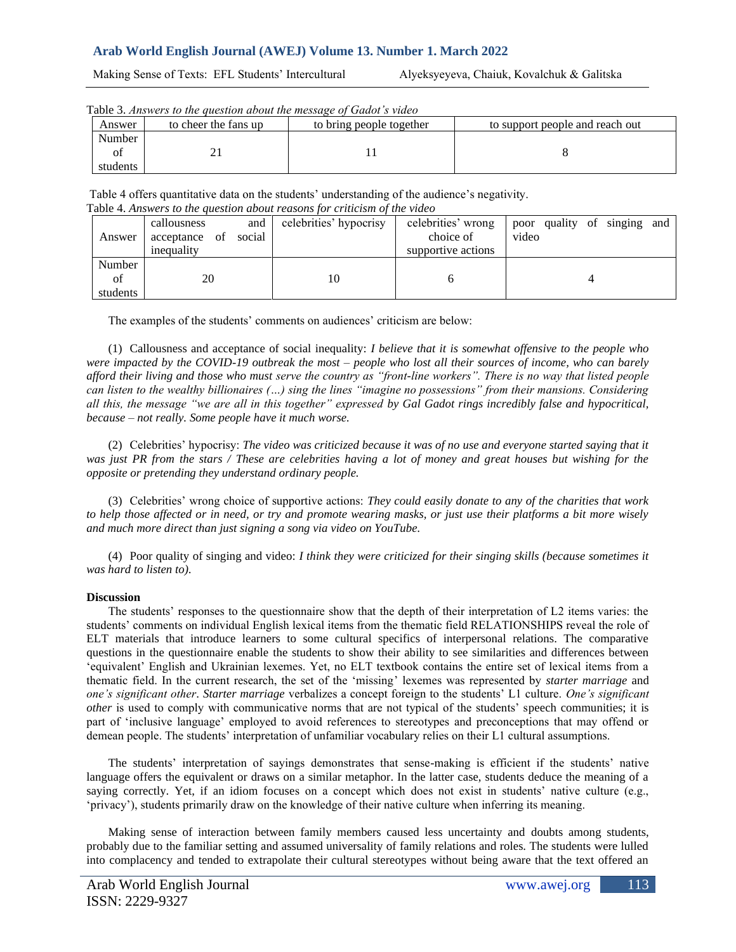Making Sense of Texts: EFL Students' Intercultural Alyeksyeyeva, Chaiuk, Kovalchuk & Galitska

| Table 3. Answers to the question about the message of Gadot s video |                      |                          |                                 |  |  |  |  |  |  |
|---------------------------------------------------------------------|----------------------|--------------------------|---------------------------------|--|--|--|--|--|--|
| Answer                                                              | to cheer the fans up | to bring people together | to support people and reach out |  |  |  |  |  |  |
| Number                                                              |                      |                          |                                 |  |  |  |  |  |  |
|                                                                     |                      |                          |                                 |  |  |  |  |  |  |
| students                                                            |                      |                          |                                 |  |  |  |  |  |  |

Table 3. *Answers to the question about the message of Gadot's video*

Table 4 offers quantitative data on the students' understanding of the audience's negativity. Table 4. *Answers to the question about reasons for criticism of the video*

|          | callousness<br>and      | celebrities' hypocrisy | celebrities' wrong | poor quality of singing and |  |  |  |
|----------|-------------------------|------------------------|--------------------|-----------------------------|--|--|--|
| Answer   | social<br>acceptance of |                        | choice of          | video                       |  |  |  |
|          | inequality              |                        | supportive actions |                             |  |  |  |
| Number   |                         |                        |                    |                             |  |  |  |
| of       | 20                      | 10                     |                    |                             |  |  |  |
| students |                         |                        |                    |                             |  |  |  |

The examples of the students' comments on audiences' criticism are below:

(1) Callousness and acceptance of social inequality: *I believe that it is somewhat offensive to the people who were impacted by the COVID-19 outbreak the most – people who lost all their sources of income, who can barely afford their living and those who must serve the country as "front-line workers". There is no way that listed people can listen to the wealthy billionaires (…) sing the lines "imagine no possessions" from their mansions. Considering all this, the message "we are all in this together" expressed by Gal Gadot rings incredibly false and hypocritical, because – not really. Some people have it much worse.*

(2) Celebrities' hypocrisy: *The video was criticized because it was of no use and everyone started saying that it was just PR from the stars / These are celebrities having a lot of money and great houses but wishing for the opposite or pretending they understand ordinary people.*

(3) Celebrities' wrong choice of supportive actions: *They could easily donate to any of the charities that work to help those affected or in need, or try and promote wearing masks, or just use their platforms a bit more wisely and much more direct than just signing a song via video on YouTube.*

(4) Poor quality of singing and video: *I think they were criticized for their singing skills (because sometimes it was hard to listen to).*

# **Discussion**

The students' responses to the questionnaire show that the depth of their interpretation of L2 items varies: the students' comments on individual English lexical items from the thematic field RELATIONSHIPS reveal the role of ELT materials that introduce learners to some cultural specifics of interpersonal relations. The comparative questions in the questionnaire enable the students to show their ability to see similarities and differences between 'equivalent' English and Ukrainian lexemes. Yet, no ELT textbook contains the entire set of lexical items from a thematic field. In the current research, the set of the 'missing' lexemes was represented by *starter marriage* and *one's significant other*. *Starter marriage* verbalizes a concept foreign to the students' L1 culture. *One's significant other* is used to comply with communicative norms that are not typical of the students' speech communities; it is part of 'inclusive language' employed to avoid references to stereotypes and preconceptions that may offend or demean people. The students' interpretation of unfamiliar vocabulary relies on their L1 cultural assumptions.

The students' interpretation of sayings demonstrates that sense-making is efficient if the students' native language offers the equivalent or draws on a similar metaphor. In the latter case, students deduce the meaning of a saying correctly. Yet, if an idiom focuses on a concept which does not exist in students' native culture (e.g., 'privacy'), students primarily draw on the knowledge of their native culture when inferring its meaning.

Making sense of interaction between family members caused less uncertainty and doubts among students, probably due to the familiar setting and assumed universality of family relations and roles. The students were lulled into complacency and tended to extrapolate their cultural stereotypes without being aware that the text offered an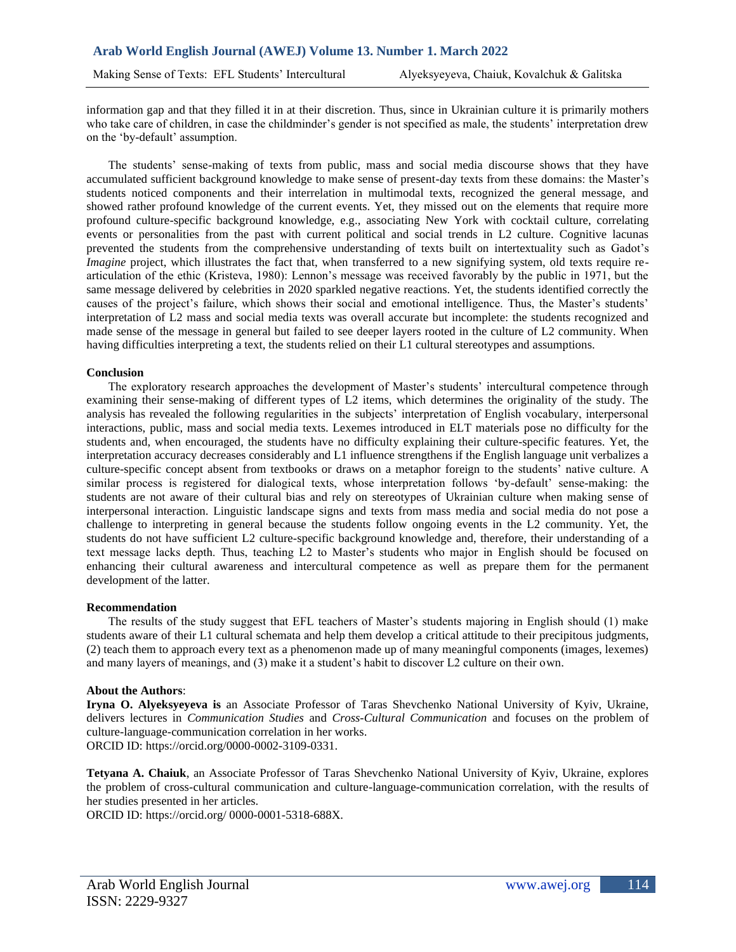information gap and that they filled it in at their discretion. Thus, since in Ukrainian culture it is primarily mothers who take care of children, in case the childminder's gender is not specified as male, the students' interpretation drew on the 'by-default' assumption.

The students' sense-making of texts from public, mass and social media discourse shows that they have accumulated sufficient background knowledge to make sense of present-day texts from these domains: the Master's students noticed components and their interrelation in multimodal texts, recognized the general message, and showed rather profound knowledge of the current events. Yet, they missed out on the elements that require more profound culture-specific background knowledge, e.g., associating New York with cocktail culture, correlating events or personalities from the past with current political and social trends in L2 culture. Cognitive lacunas prevented the students from the comprehensive understanding of texts built on intertextuality such as Gadot's *Imagine* project, which illustrates the fact that, when transferred to a new signifying system, old texts require rearticulation of the ethic (Kristeva, 1980): Lennon's message was received favorably by the public in 1971, but the same message delivered by celebrities in 2020 sparkled negative reactions. Yet, the students identified correctly the causes of the project's failure, which shows their social and emotional intelligence. Thus, the Master's students' interpretation of L2 mass and social media texts was overall accurate but incomplete: the students recognized and made sense of the message in general but failed to see deeper layers rooted in the culture of L2 community. When having difficulties interpreting a text, the students relied on their L1 cultural stereotypes and assumptions.

## **Conclusion**

The exploratory research approaches the development of Master's students' intercultural competence through examining their sense-making of different types of L2 items, which determines the originality of the study. The analysis has revealed the following regularities in the subjects' interpretation of English vocabulary, interpersonal interactions, public, mass and social media texts. Lexemes introduced in ELT materials pose no difficulty for the students and, when encouraged, the students have no difficulty explaining their culture-specific features. Yet, the interpretation accuracy decreases considerably and L1 influence strengthens if the English language unit verbalizes a culture-specific concept absent from textbooks or draws on a metaphor foreign to the students' native culture. A similar process is registered for dialogical texts, whose interpretation follows 'by-default' sense-making: the students are not aware of their cultural bias and rely on stereotypes of Ukrainian culture when making sense of interpersonal interaction. Linguistic landscape signs and texts from mass media and social media do not pose a challenge to interpreting in general because the students follow ongoing events in the L2 community. Yet, the students do not have sufficient L2 culture-specific background knowledge and, therefore, their understanding of a text message lacks depth. Thus, teaching L2 to Master's students who major in English should be focused on enhancing their cultural awareness and intercultural competence as well as prepare them for the permanent development of the latter.

#### **Recommendation**

The results of the study suggest that EFL teachers of Master's students majoring in English should (1) make students aware of their L1 cultural schemata and help them develop a critical attitude to their precipitous judgments, (2) teach them to approach every text as a phenomenon made up of many meaningful components (images, lexemes) and many layers of meanings, and (3) make it a student's habit to discover L2 culture on their own.

# **About the Authors**:

**Iryna O. Alyeksyeyeva is** an Associate Professor of Taras Shevchenko National University of Kyiv, Ukraine, delivers lectures in *Communication Studies* and *Cross-Cultural Communication* and focuses on the problem of culture-language-communication correlation in her works. ORCID ID: https://orcid.org/0000-0002-3109-0331.

**Tetyana A. Chaiuk**, an Associate Professor of Taras Shevchenko National University of Kyiv, Ukraine, explores the problem of cross-cultural communication and culture-language-communication correlation, with the results of her studies presented in her articles.

ORCID ID: https://orcid.org/ 0000-0001-5318-688X.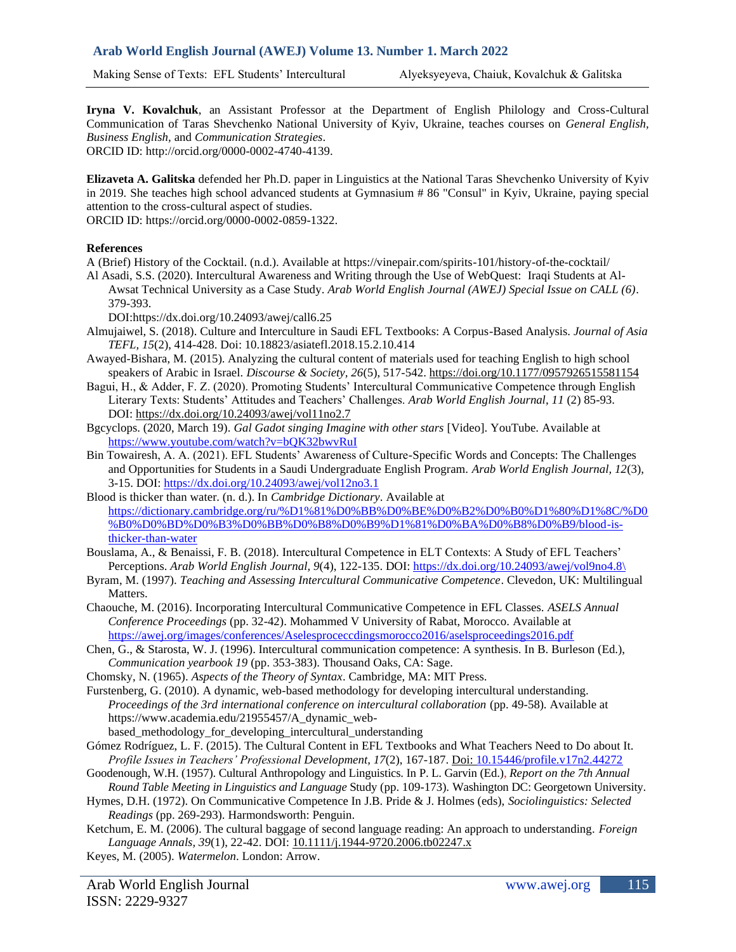**Iryna V. Kovalchuk**, an Assistant Professor at the Department of English Philology and Cross-Cultural Communication of Taras Shevchenko National University of Kyiv, Ukraine, teaches courses on *General English, Business English,* and *Communication Strategies*. ORCID ID: [http://orcid.org/0000-0002-4740-4139.](http://orcid.org/0000-0002-4740-4139)

**Elizaveta A. Galitska** defended her Ph.D. paper in Linguistics at the National Taras Shevchenko University of Kyiv in 2019. She teaches high school advanced students at Gymnasium # 86 "Consul" in Kyiv, Ukraine, paying special attention to the cross-cultural aspect of studies.

ORCID ID: [https://orcid.org/0000-0002-0859-1322.](https://orcid.org/0000-0002-0859-1322)

# **References**

A (Brief) History of the Cocktail. (n.d.). Available at https://vinepair.com/spirits-101/history-of-the-cocktail/

Al Asadi, S.S. (2020). Intercultural Awareness and Writing through the Use of WebQuest: Iraqi Students at Al-Awsat Technical University as a Case Study. *Arab World English Journal (AWEJ) Special Issue on CALL (6)*. 379-393.

DOI:https://dx.doi.org/10.24093/awej/call6.25

- Almujaiwel, S. (2018). Culture and Interculture in Saudi EFL Textbooks: A Corpus-Based Analysis. *Journal of Asia TEFL, 15*(2), 414-428. Doi: 10.18823/asiatefl.2018.15.2.10.414
- Awayed-Bishara, M. (2015). Analyzing the cultural content of materials used for teaching English to high school speakers of Arabic in Israel. *Discourse & Society, 26*(5), 517-542. [https://doi.org/10.1177/0957926515581154](https://doi.org/10.1177%2F0957926515581154)
- Bagui, H., & Adder, F. Z. (2020). Promoting Students' Intercultural Communicative Competence through English Literary Texts: Students' Attitudes and Teachers' Challenges. *Arab World English Journal*, *11* (2) 85-93. DOI: <https://dx.doi.org/10.24093/awej/vol11no2.7>
- Bgcyclops. (2020, March 19). *Gal Gadot singing Imagine with other stars* [Video]. YouTube. Available at <https://www.youtube.com/watch?v=bQK32bwvRuI>
- Bin Towairesh, A. A. (2021). EFL Students' Awareness of Culture-Specific Words and Concepts: The Challenges and Opportunities for Students in a Saudi Undergraduate English Program. *Arab World English Journal, 12*(3), 3-15. DOI:<https://dx.doi.org/10.24093/awej/vol12no3.1>
- Blood is thicker than water. (n. d.). In *Cambridge Dictionary*. Available at [https://dictionary.cambridge.org/ru/%D1%81%D0%BB%D0%BE%D0%B2%D0%B0%D1%80%D1%8C/%D0](https://dictionary.cambridge.org/ru/%D1%81%D0%BB%D0%BE%D0%B2%D0%B0%D1%80%D1%8C/%D0%B0%D0%BD%D0%B3%D0%BB%D0%B8%D0%B9%D1%81%D0%BA%D0%B8%D0%B9/blood-is-thicker-than-water) [%B0%D0%BD%D0%B3%D0%BB%D0%B8%D0%B9%D1%81%D0%BA%D0%B8%D0%B9/blood-is](https://dictionary.cambridge.org/ru/%D1%81%D0%BB%D0%BE%D0%B2%D0%B0%D1%80%D1%8C/%D0%B0%D0%BD%D0%B3%D0%BB%D0%B8%D0%B9%D1%81%D0%BA%D0%B8%D0%B9/blood-is-thicker-than-water)[thicker-than-water](https://dictionary.cambridge.org/ru/%D1%81%D0%BB%D0%BE%D0%B2%D0%B0%D1%80%D1%8C/%D0%B0%D0%BD%D0%B3%D0%BB%D0%B8%D0%B9%D1%81%D0%BA%D0%B8%D0%B9/blood-is-thicker-than-water)
- Bouslama, A., & Benaissi, F. B. (2018). Intercultural Competence in ELT Contexts: A Study of EFL Teachers' Perceptions. *Arab World English Journal, 9*(4), 122-135. DOI: [https://dx.doi.org/10.24093/awej/vol9no4.8\](https://dx.doi.org/10.24093/awej/vol9no4.8/)
- Byram, M. (1997). *Teaching and Assessing Intercultural Communicative Competence*. Clevedon, UK: Multilingual Matters.
- Chaouche, M. (2016). Incorporating Intercultural Communicative Competence in EFL Classes. *ASELS Annual Conference Proceedings* (pp. 32-42). Mohammed V University of Rabat, Morocco. Available at <https://awej.org/images/conferences/Aselesproceccdingsmorocco2016/aselsproceedings2016.pdf>
- Chen, G., & Starosta, W. J. (1996). Intercultural communication competence: A synthesis. In B. Burleson (Ed.), *Communication yearbook 19* (pp. 353-383). Thousand Oaks, CA: Sage.
- Chomsky, N. (1965). *Aspects of the Theory of Syntax*. Cambridge, MA: MIT Press.

Furstenberg, G. (2010). A dynamic, web-based methodology for developing intercultural understanding. *Proceedings of the 3rd international conference on intercultural collaboration* (pp. 49-58). Available at https://www.academia.edu/21955457/A\_dynamic\_web-

- based\_methodology\_for\_developing\_intercultural\_understanding
- Gómez Rodríguez, L. F. (2015). The Cultural Content in EFL Textbooks and What Teachers Need to Do about It. *Profile Issues in Teachers' Professional Development, 17*(2), 167-187[. Doi: 10.15446/profile.v17n2.44272](https://doi.org/10.15446/profile.v17n2.44272)
- Goodenough, W.H. (1957). Cultural Anthropology and Linguistics. In P. L. Garvin (Ed.), *Report on the 7th Annual Round Table Meeting in Linguistics and Language* Study (pp. 109-173). Washington DC: Georgetown University.
- Hymes, D.H. (1972). On Communicative Competence In J.B. Pride & J. Holmes (eds), *Sociolinguistics: Selected Readings* (pp. 269-293). Harmondsworth: Penguin.
- Ketchum, E. M. (2006). The cultural baggage of second language reading: An approach to understanding. *Foreign Language Annals, 39*(1), 22-42. DOI: [10.1111/j.1944-9720.2006.tb02247.x](https://doi.org/10.1111/j.1944-9720.2006.tb02247.x)
- Keyes, M. (2005). *Watermelon*. London: Arrow.